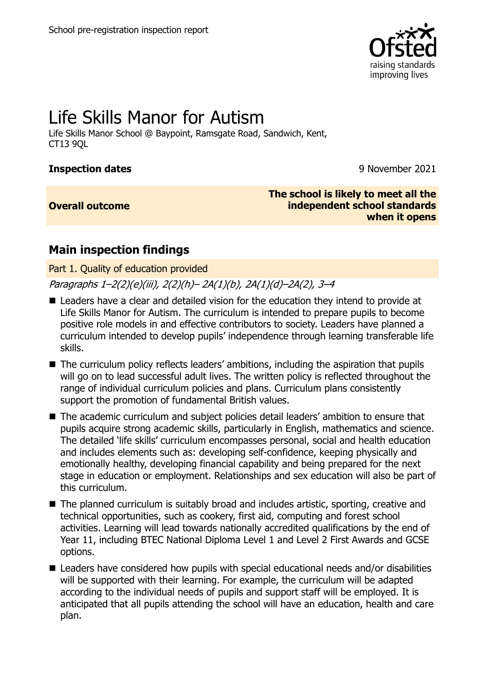

# Life Skills Manor for Autism

Life Skills Manor School @ Baypoint, Ramsgate Road, Sandwich, Kent, CT13 9QL

#### **Inspection dates** 9 November 2021

#### **Overall outcome**

**The school is likely to meet all the independent school standards when it opens**

## **Main inspection findings**

Part 1. Quality of education provided

### Paragraphs 1–2(2)(e)(iii), 2(2)(h)– 2A(1)(b), 2A(1)(d)–2A(2), 3–4

- Leaders have a clear and detailed vision for the education they intend to provide at Life Skills Manor for Autism. The curriculum is intended to prepare pupils to become positive role models in and effective contributors to society. Leaders have planned a curriculum intended to develop pupils' independence through learning transferable life skills.
- The curriculum policy reflects leaders' ambitions, including the aspiration that pupils will go on to lead successful adult lives. The written policy is reflected throughout the range of individual curriculum policies and plans. Curriculum plans consistently support the promotion of fundamental British values.
- The academic curriculum and subject policies detail leaders' ambition to ensure that pupils acquire strong academic skills, particularly in English, mathematics and science. The detailed 'life skills' curriculum encompasses personal, social and health education and includes elements such as: developing self-confidence, keeping physically and emotionally healthy, developing financial capability and being prepared for the next stage in education or employment. Relationships and sex education will also be part of this curriculum.
- The planned curriculum is suitably broad and includes artistic, sporting, creative and technical opportunities, such as cookery, first aid, computing and forest school activities. Learning will lead towards nationally accredited qualifications by the end of Year 11, including BTEC National Diploma Level 1 and Level 2 First Awards and GCSE options.
- Leaders have considered how pupils with special educational needs and/or disabilities will be supported with their learning. For example, the curriculum will be adapted according to the individual needs of pupils and support staff will be employed. It is anticipated that all pupils attending the school will have an education, health and care plan.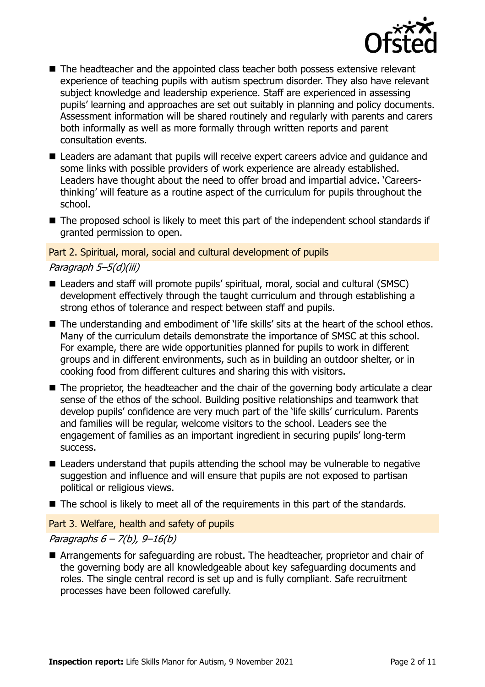

- The headteacher and the appointed class teacher both possess extensive relevant experience of teaching pupils with autism spectrum disorder. They also have relevant subject knowledge and leadership experience. Staff are experienced in assessing pupils' learning and approaches are set out suitably in planning and policy documents. Assessment information will be shared routinely and regularly with parents and carers both informally as well as more formally through written reports and parent consultation events.
- Leaders are adamant that pupils will receive expert careers advice and quidance and some links with possible providers of work experience are already established. Leaders have thought about the need to offer broad and impartial advice. 'Careersthinking' will feature as a routine aspect of the curriculum for pupils throughout the school.
- The proposed school is likely to meet this part of the independent school standards if granted permission to open.

#### Part 2. Spiritual, moral, social and cultural development of pupils

#### Paragraph 5–5(d)(iii)

- Leaders and staff will promote pupils' spiritual, moral, social and cultural (SMSC) development effectively through the taught curriculum and through establishing a strong ethos of tolerance and respect between staff and pupils.
- The understanding and embodiment of 'life skills' sits at the heart of the school ethos. Many of the curriculum details demonstrate the importance of SMSC at this school. For example, there are wide opportunities planned for pupils to work in different groups and in different environments, such as in building an outdoor shelter, or in cooking food from different cultures and sharing this with visitors.
- The proprietor, the headteacher and the chair of the governing body articulate a clear sense of the ethos of the school. Building positive relationships and teamwork that develop pupils' confidence are very much part of the 'life skills' curriculum. Parents and families will be regular, welcome visitors to the school. Leaders see the engagement of families as an important ingredient in securing pupils' long-term success.
- Leaders understand that pupils attending the school may be vulnerable to negative suggestion and influence and will ensure that pupils are not exposed to partisan political or religious views.
- The school is likely to meet all of the requirements in this part of the standards.

Part 3. Welfare, health and safety of pupils

#### Paragraphs  $6 - 7(b)$ ,  $9 - 16(b)$

■ Arrangements for safeguarding are robust. The headteacher, proprietor and chair of the governing body are all knowledgeable about key safeguarding documents and roles. The single central record is set up and is fully compliant. Safe recruitment processes have been followed carefully.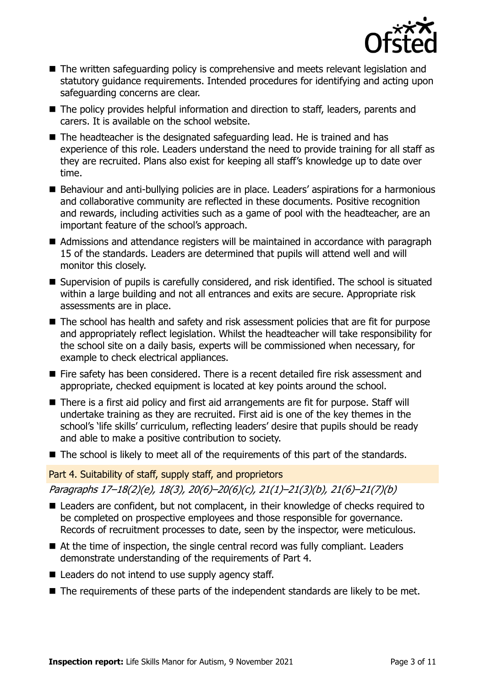

- The written safeguarding policy is comprehensive and meets relevant legislation and statutory guidance requirements. Intended procedures for identifying and acting upon safeguarding concerns are clear.
- The policy provides helpful information and direction to staff, leaders, parents and carers. It is available on the school website.
- The headteacher is the designated safeguarding lead. He is trained and has experience of this role. Leaders understand the need to provide training for all staff as they are recruited. Plans also exist for keeping all staff's knowledge up to date over time.
- Behaviour and anti-bullying policies are in place. Leaders' aspirations for a harmonious and collaborative community are reflected in these documents. Positive recognition and rewards, including activities such as a game of pool with the headteacher, are an important feature of the school's approach.
- Admissions and attendance registers will be maintained in accordance with paragraph 15 of the standards. Leaders are determined that pupils will attend well and will monitor this closely.
- Supervision of pupils is carefully considered, and risk identified. The school is situated within a large building and not all entrances and exits are secure. Appropriate risk assessments are in place.
- The school has health and safety and risk assessment policies that are fit for purpose and appropriately reflect legislation. Whilst the headteacher will take responsibility for the school site on a daily basis, experts will be commissioned when necessary, for example to check electrical appliances.
- Fire safety has been considered. There is a recent detailed fire risk assessment and appropriate, checked equipment is located at key points around the school.
- There is a first aid policy and first aid arrangements are fit for purpose. Staff will undertake training as they are recruited. First aid is one of the key themes in the school's 'life skills' curriculum, reflecting leaders' desire that pupils should be ready and able to make a positive contribution to society.
- The school is likely to meet all of the requirements of this part of the standards.

#### Part 4. Suitability of staff, supply staff, and proprietors

Paragraphs 17–18(2)(e), 18(3), 20(6)–20(6)(c), 21(1)–21(3)(b), 21(6)–21(7)(b)

- Leaders are confident, but not complacent, in their knowledge of checks required to be completed on prospective employees and those responsible for governance. Records of recruitment processes to date, seen by the inspector, were meticulous.
- At the time of inspection, the single central record was fully compliant. Leaders demonstrate understanding of the requirements of Part 4.
- Leaders do not intend to use supply agency staff.
- The requirements of these parts of the independent standards are likely to be met.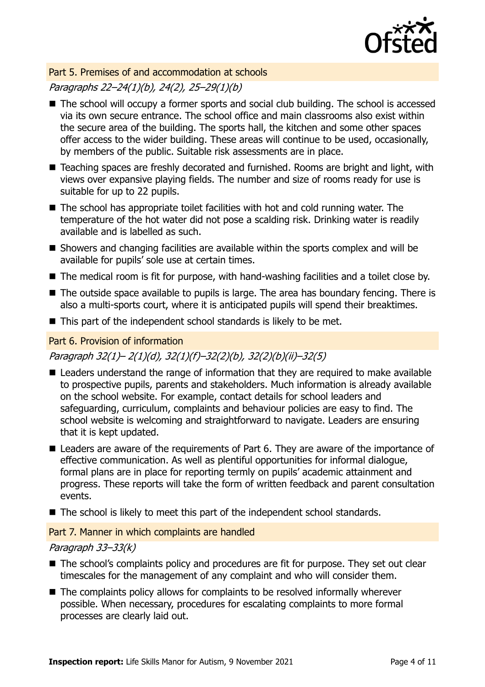

#### Part 5. Premises of and accommodation at schools

#### Paragraphs 22–24(1)(b), 24(2), 25–29(1)(b)

- The school will occupy a former sports and social club building. The school is accessed via its own secure entrance. The school office and main classrooms also exist within the secure area of the building. The sports hall, the kitchen and some other spaces offer access to the wider building. These areas will continue to be used, occasionally, by members of the public. Suitable risk assessments are in place.
- Teaching spaces are freshly decorated and furnished. Rooms are bright and light, with views over expansive playing fields. The number and size of rooms ready for use is suitable for up to 22 pupils.
- The school has appropriate toilet facilities with hot and cold running water. The temperature of the hot water did not pose a scalding risk. Drinking water is readily available and is labelled as such.
- Showers and changing facilities are available within the sports complex and will be available for pupils' sole use at certain times.
- The medical room is fit for purpose, with hand-washing facilities and a toilet close by.
- The outside space available to pupils is large. The area has boundary fencing. There is also a multi-sports court, where it is anticipated pupils will spend their breaktimes.
- This part of the independent school standards is likely to be met.

#### Part 6. Provision of information

#### Paragraph 32(1)– 2(1)(d), 32(1)(f)–32(2)(b), 32(2)(b)(ii)–32(5)

- Leaders understand the range of information that they are required to make available to prospective pupils, parents and stakeholders. Much information is already available on the school website. For example, contact details for school leaders and safeguarding, curriculum, complaints and behaviour policies are easy to find. The school website is welcoming and straightforward to navigate. Leaders are ensuring that it is kept updated.
- Leaders are aware of the requirements of Part 6. They are aware of the importance of effective communication. As well as plentiful opportunities for informal dialogue, formal plans are in place for reporting termly on pupils' academic attainment and progress. These reports will take the form of written feedback and parent consultation events.
- The school is likely to meet this part of the independent school standards.

#### Part 7. Manner in which complaints are handled

#### Paragraph 33–33(k)

- The school's complaints policy and procedures are fit for purpose. They set out clear timescales for the management of any complaint and who will consider them.
- The complaints policy allows for complaints to be resolved informally wherever possible. When necessary, procedures for escalating complaints to more formal processes are clearly laid out.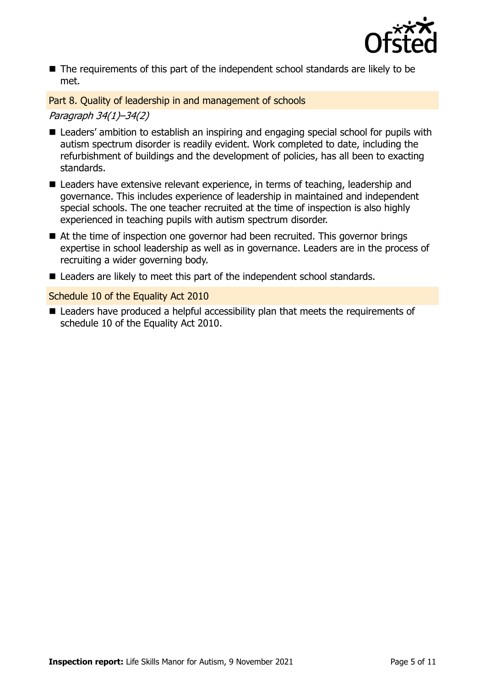

■ The requirements of this part of the independent school standards are likely to be met.

Part 8. Quality of leadership in and management of schools

Paragraph 34(1)–34(2)

- Leaders' ambition to establish an inspiring and engaging special school for pupils with autism spectrum disorder is readily evident. Work completed to date, including the refurbishment of buildings and the development of policies, has all been to exacting standards.
- Leaders have extensive relevant experience, in terms of teaching, leadership and governance. This includes experience of leadership in maintained and independent special schools. The one teacher recruited at the time of inspection is also highly experienced in teaching pupils with autism spectrum disorder.
- At the time of inspection one governor had been recruited. This governor brings expertise in school leadership as well as in governance. Leaders are in the process of recruiting a wider governing body.
- Leaders are likely to meet this part of the independent school standards.

Schedule 10 of the Equality Act 2010

■ Leaders have produced a helpful accessibility plan that meets the requirements of schedule 10 of the Equality Act 2010.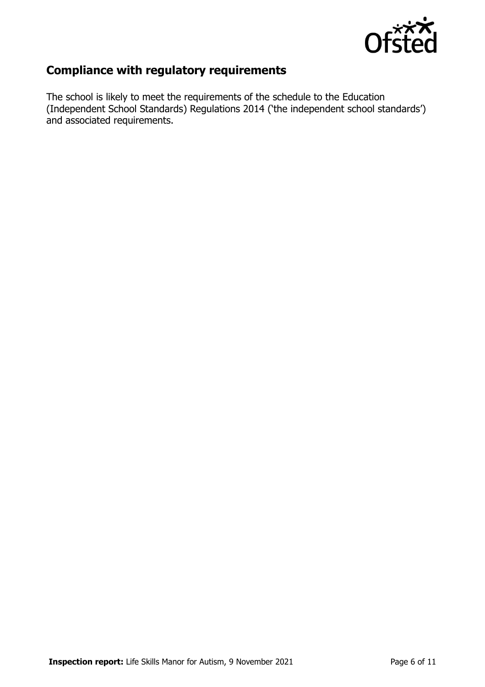

## **Compliance with regulatory requirements**

The school is likely to meet the requirements of the schedule to the Education (Independent School Standards) Regulations 2014 ('the independent school standards') and associated requirements.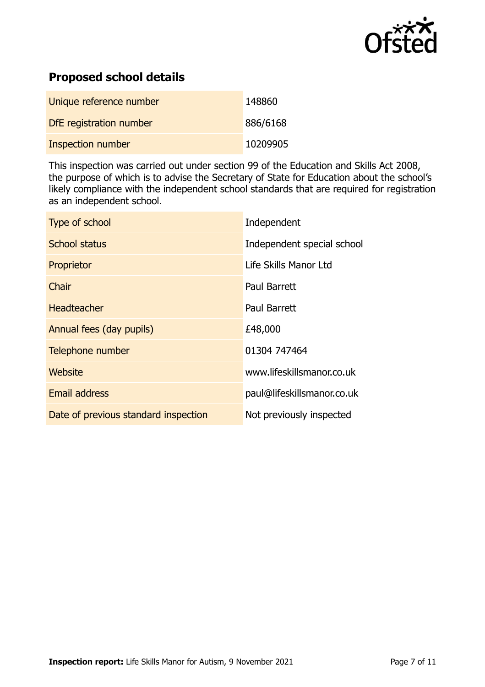

## **Proposed school details**

| Unique reference number  | 148860   |
|--------------------------|----------|
| DfE registration number  | 886/6168 |
| <b>Inspection number</b> | 10209905 |

This inspection was carried out under section 99 of the Education and Skills Act 2008, the purpose of which is to advise the Secretary of State for Education about the school's likely compliance with the independent school standards that are required for registration as an independent school.

| Type of school                       | Independent                |
|--------------------------------------|----------------------------|
| <b>School status</b>                 | Independent special school |
| Proprietor                           | Life Skills Manor Ltd      |
| Chair                                | Paul Barrett               |
| <b>Headteacher</b>                   | Paul Barrett               |
| Annual fees (day pupils)             | £48,000                    |
| Telephone number                     | 01304 747464               |
| Website                              | www.lifeskillsmanor.co.uk  |
| <b>Email address</b>                 | paul@lifeskillsmanor.co.uk |
| Date of previous standard inspection | Not previously inspected   |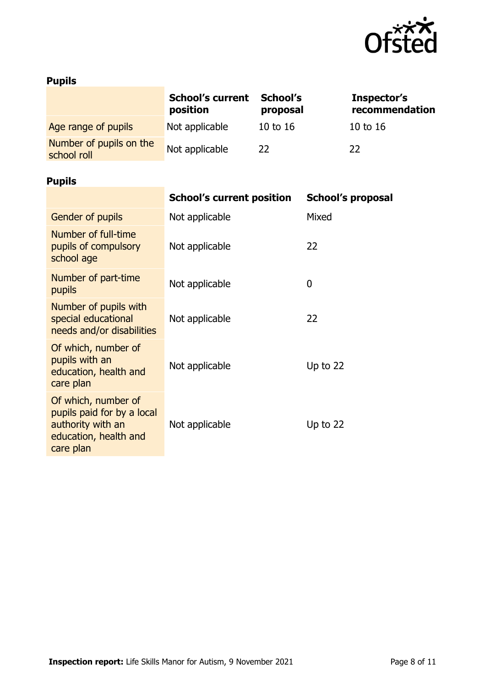

## **Pupils**

|                                        | <b>School's current</b><br>position | School's<br>proposal | Inspector's<br>recommendation |
|----------------------------------------|-------------------------------------|----------------------|-------------------------------|
| Age range of pupils                    | Not applicable                      | 10 to 16             | 10 to 16                      |
| Number of pupils on the<br>school roll | Not applicable                      | 22                   | 22                            |
| <b>Pupils</b>                          |                                     |                      |                               |

|                                                                                                              | <b>School's current position</b> | <b>School's proposal</b> |
|--------------------------------------------------------------------------------------------------------------|----------------------------------|--------------------------|
| Gender of pupils                                                                                             | Not applicable                   | Mixed                    |
| Number of full-time<br>pupils of compulsory<br>school age                                                    | Not applicable                   | 22                       |
| Number of part-time<br>pupils                                                                                | Not applicable                   | 0                        |
| Number of pupils with<br>special educational<br>needs and/or disabilities                                    | Not applicable                   | 22                       |
| Of which, number of<br>pupils with an<br>education, health and<br>care plan                                  | Not applicable                   | Up to $22$               |
| Of which, number of<br>pupils paid for by a local<br>authority with an<br>education, health and<br>care plan | Not applicable                   | Up to $22$               |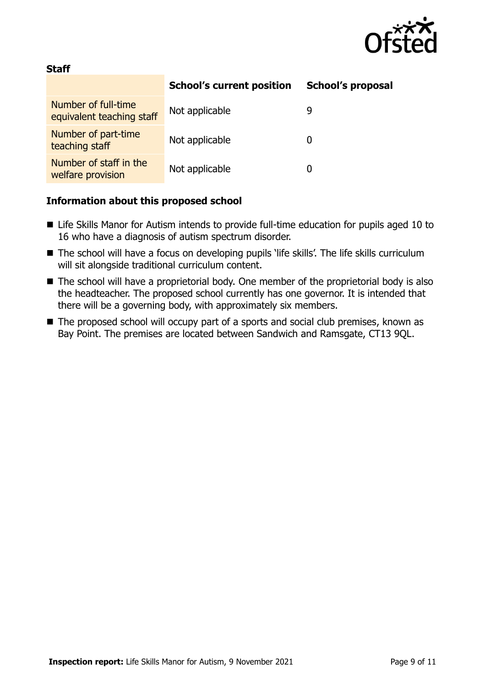

#### **Staff**

|                                                  | <b>School's current position</b> | <b>School's proposal</b> |
|--------------------------------------------------|----------------------------------|--------------------------|
| Number of full-time<br>equivalent teaching staff | Not applicable                   | 9                        |
| Number of part-time<br>teaching staff            | Not applicable                   |                          |
| Number of staff in the<br>welfare provision      | Not applicable                   |                          |

#### **Information about this proposed school**

- Life Skills Manor for Autism intends to provide full-time education for pupils aged 10 to 16 who have a diagnosis of autism spectrum disorder.
- The school will have a focus on developing pupils 'life skills'. The life skills curriculum will sit alongside traditional curriculum content.
- The school will have a proprietorial body. One member of the proprietorial body is also the headteacher. The proposed school currently has one governor. It is intended that there will be a governing body, with approximately six members.
- The proposed school will occupy part of a sports and social club premises, known as Bay Point. The premises are located between Sandwich and Ramsgate, CT13 9QL.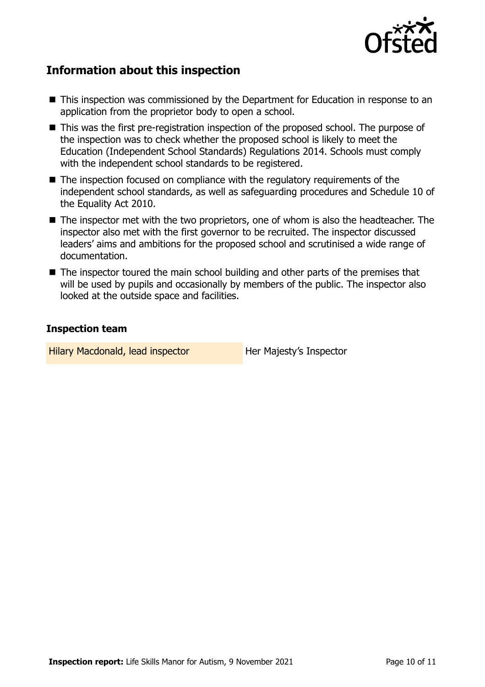

## **Information about this inspection**

- This inspection was commissioned by the Department for Education in response to an application from the proprietor body to open a school.
- This was the first pre-registration inspection of the proposed school. The purpose of the inspection was to check whether the proposed school is likely to meet the Education (Independent School Standards) Regulations 2014. Schools must comply with the independent school standards to be registered.
- The inspection focused on compliance with the regulatory requirements of the independent school standards, as well as safeguarding procedures and Schedule 10 of the Equality Act 2010.
- The inspector met with the two proprietors, one of whom is also the headteacher. The inspector also met with the first governor to be recruited. The inspector discussed leaders' aims and ambitions for the proposed school and scrutinised a wide range of documentation.
- The inspector toured the main school building and other parts of the premises that will be used by pupils and occasionally by members of the public. The inspector also looked at the outside space and facilities.

#### **Inspection team**

Hilary Macdonald, lead inspector **Her Majesty's Inspector**